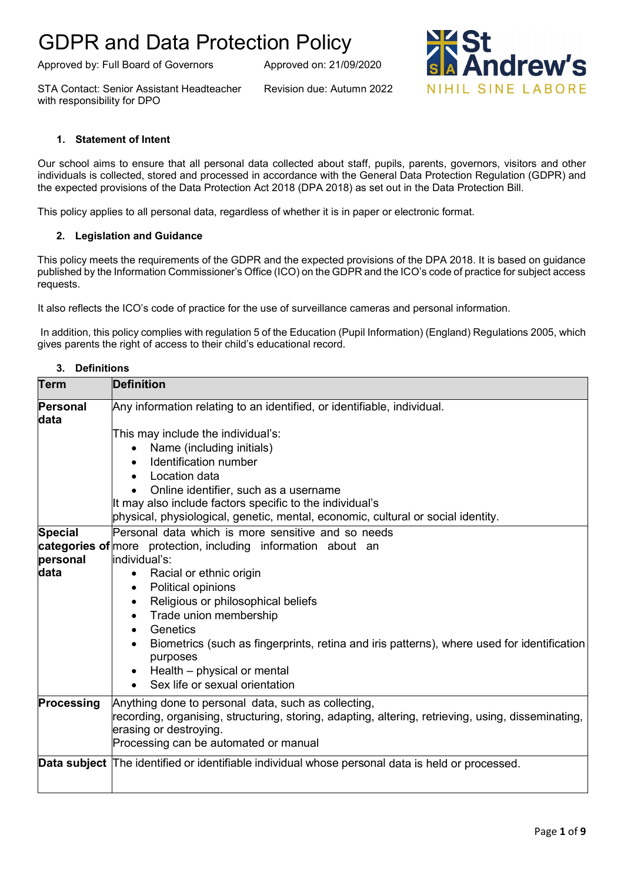Approved by: Full Board of Governors Approved on: 21/09/2020

STA Contact: Senior Assistant Headteacher Revision due: Autumn 2022 with responsibility for DPO

**ndrew's** NIHIL SINE LABORE

#### **1. Statement of Intent**

Our school aims to ensure that all personal data collected about staff, pupils, parents, governors, visitors and other individuals is collected, stored and processed in accordance with the General Data Protection Regulation (GDPR) and the expected provisions of the Data Protection Act 2018 (DPA 2018) as set out in the Data Protection Bill.

This policy applies to all personal data, regardless of whether it is in paper or electronic format.

#### **2. Legislation and Guidance**

This policy meets the requirements of the GDPR and the expected provisions of the DPA 2018. It is based on guidance published by the Information Commissioner's Office (ICO) on the GDPR and the ICO's code of practice for subject access requests.

It also reflects the ICO's code of practice for the use of surveillance cameras and personal information.

In addition, this policy complies with regulation 5 of the Education (Pupil Information) (England) Regulations 2005, which gives parents the right of access to their child's educational record.

#### **3. Definitions**

| <b>Term</b>             | <b>Definition</b>                                                                                                   |
|-------------------------|---------------------------------------------------------------------------------------------------------------------|
| <b>Personal</b><br>data | Any information relating to an identified, or identifiable, individual.                                             |
|                         | This may include the individual's:                                                                                  |
|                         | Name (including initials)                                                                                           |
|                         | Identification number<br>$\bullet$                                                                                  |
|                         | Location data<br>$\bullet$                                                                                          |
|                         | Online identifier, such as a username                                                                               |
|                         | It may also include factors specific to the individual's                                                            |
|                         | physical, physiological, genetic, mental, economic, cultural or social identity.                                    |
| <b>Special</b>          | Personal data which is more sensitive and so needs                                                                  |
|                         | <b>categories of</b> more protection, including information about an                                                |
| personal                | individual's:                                                                                                       |
| data                    | Racial or ethnic origin<br>$\bullet$                                                                                |
|                         | Political opinions<br>$\bullet$                                                                                     |
|                         | Religious or philosophical beliefs<br>$\bullet$                                                                     |
|                         | Trade union membership<br>$\bullet$                                                                                 |
|                         | Genetics<br>$\bullet$                                                                                               |
|                         | Biometrics (such as fingerprints, retina and iris patterns), where used for identification<br>$\bullet$<br>purposes |
|                         | Health – physical or mental<br>$\bullet$                                                                            |
|                         | Sex life or sexual orientation<br>$\bullet$                                                                         |
| <b>Processing</b>       | Anything done to personal data, such as collecting,                                                                 |
|                         | recording, organising, structuring, storing, adapting, altering, retrieving, using, disseminating,                  |
|                         | erasing or destroying.                                                                                              |
|                         | Processing can be automated or manual                                                                               |
|                         | <b>Data subject</b> The identified or identifiable individual whose personal data is held or processed.             |
|                         |                                                                                                                     |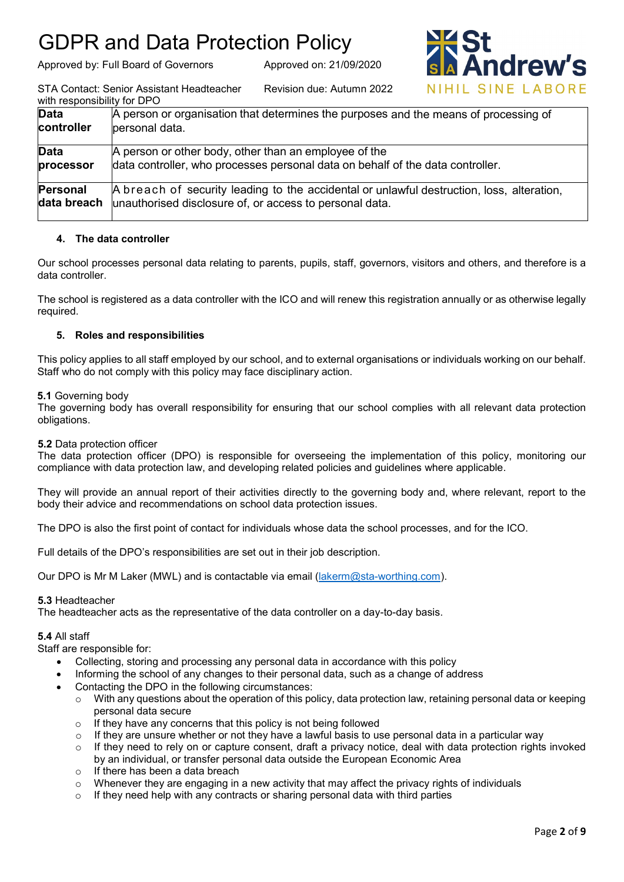Approved by: Full Board of Governors Approved on: 21/09/2020



STA Contact: Senior Assistant Headteacher Revision due: Autumn 2022 with responsibility  $f_{\alpha r}$  DDO

| WILL LESPULSIDIIILY TUL DFU |                                                                                                                                                      |
|-----------------------------|------------------------------------------------------------------------------------------------------------------------------------------------------|
| <b>Data</b><br>controller   | A person or organisation that determines the purposes and the means of processing of<br>personal data.                                               |
|                             |                                                                                                                                                      |
| <b>Data</b>                 | A person or other body, other than an employee of the                                                                                                |
| processor                   | data controller, who processes personal data on behalf of the data controller.                                                                       |
| Personal<br>data breach     | A breach of security leading to the accidental or unlawful destruction, loss, alteration,<br>unauthorised disclosure of, or access to personal data. |
|                             |                                                                                                                                                      |

## **4. The data controller**

Our school processes personal data relating to parents, pupils, staff, governors, visitors and others, and therefore is a data controller.

The school is registered as a data controller with the ICO and will renew this registration annually or as otherwise legally required.

### **5. Roles and responsibilities**

This policy applies to all staff employed by our school, and to external organisations or individuals working on our behalf. Staff who do not comply with this policy may face disciplinary action.

#### **5.1** Governing body

The governing body has overall responsibility for ensuring that our school complies with all relevant data protection obligations.

#### **5.2** Data protection officer

The data protection officer (DPO) is responsible for overseeing the implementation of this policy, monitoring our compliance with data protection law, and developing related policies and guidelines where applicable.

They will provide an annual report of their activities directly to the governing body and, where relevant, report to the body their advice and recommendations on school data protection issues.

The DPO is also the first point of contact for individuals whose data the school processes, and for the ICO.

Full details of the DPO's responsibilities are set out in their job description.

Our DPO is Mr M Laker (MWL) and is contactable via email [\(lakerm@sta-worthing.com\)](mailto:lakerm@sta-worthing.com).

#### **5.3** Headteacher

The headteacher acts as the representative of the data controller on a day-to-day basis.

#### **5.4** All staff

Staff are responsible for:

- Collecting, storing and processing any personal data in accordance with this policy
- Informing the school of any changes to their personal data, such as a change of address
- Contacting the DPO in the following circumstances:
	- $\circ$  With any questions about the operation of this policy, data protection law, retaining personal data or keeping personal data secure
	- $\circ$  If they have any concerns that this policy is not being followed
	- $\circ$  If they are unsure whether or not they have a lawful basis to use personal data in a particular way
	- $\circ$  If they need to rely on or capture consent, draft a privacy notice, deal with data protection rights invoked by an individual, or transfer personal data outside the European Economic Area
	- o If there has been a data breach
	- $\circ$  Whenever they are engaging in a new activity that may affect the privacy rights of individuals
	- o If they need help with any contracts or sharing personal data with third parties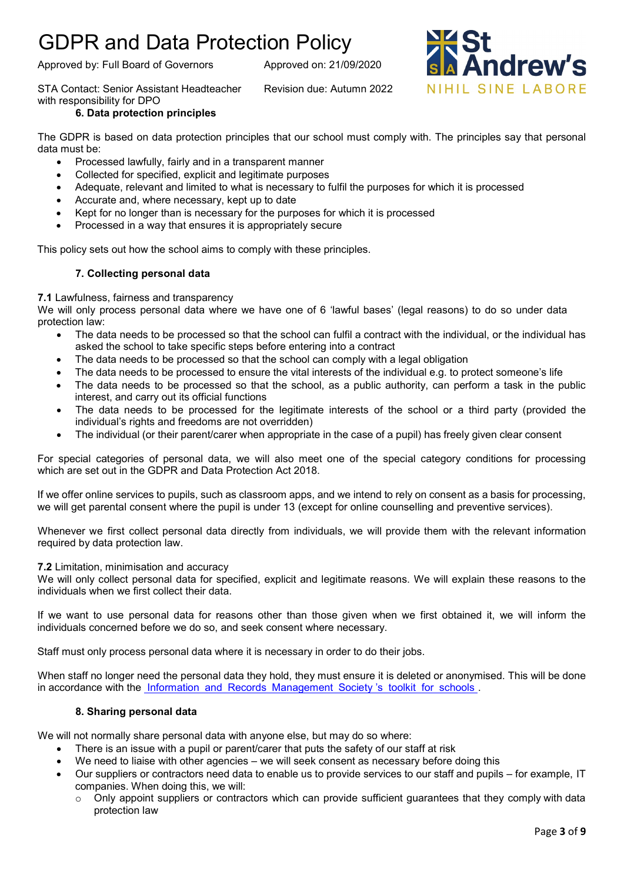Approved by: Full Board of Governors Approved on: 21/09/2020

STA Contact: Senior Assistant Headteacher Revision due: Autumn 2022 with responsibility for DPO

### **6. Data protection principles**

The GDPR is based on data protection principles that our school must comply with. The principles say that personal data must be:

- Processed lawfully, fairly and in a transparent manner
- Collected for specified, explicit and legitimate purposes
- Adequate, relevant and limited to what is necessary to fulfil the purposes for which it is processed
- Accurate and, where necessary, kept up to date
- Kept for no longer than is necessary for the purposes for which it is processed
- Processed in a way that ensures it is appropriately secure

This policy sets out how the school aims to comply with these principles.

## **7. Collecting personal data**

**7.1** Lawfulness, fairness and transparency

We will only process personal data where we have one of 6 'lawful bases' (legal reasons) to do so under data protection law:

- The data needs to be processed so that the school can fulfil a contract with the individual, or the individual has asked the school to take specific steps before entering into a contract
- The data needs to be processed so that the school can comply with a legal obligation
- The data needs to be processed to ensure the vital interests of the individual e.g. to protect someone's life
- The data needs to be processed so that the school, as a public authority, can perform a task in the public interest, and carry out its official functions
- The data needs to be processed for the legitimate interests of the school or a third party (provided the individual's rights and freedoms are not overridden)
- The individual (or their parent/carer when appropriate in the case of a pupil) has freely given clear consent

For special categories of personal data, we will also meet one of the special category conditions for processing which are set out in the GDPR and Data Protection Act 2018.

If we offer online services to pupils, such as classroom apps, and we intend to rely on consent as a basis for processing, we will get parental consent where the pupil is under 13 (except for online counselling and preventive services).

Whenever we first collect personal data directly from individuals, we will provide them with the relevant information required by data protection law.

#### **7.2** Limitation, minimisation and accuracy

We will only collect personal data for specified, explicit and legitimate reasons. We will explain these reasons to the individuals when we first collect their data.

If we want to use personal data for reasons other than those given when we first obtained it, we will inform the individuals concerned before we do so, and seek consent where necessary.

Staff must only process personal data where it is necessary in order to do their jobs.

When staff no longer need the personal data they hold, they must ensure it is deleted or anonymised. This will be done in accordance with the Information and Records [Management](https://irms.site-ym.com/resource/collection/8BCEF755-0353-4F66-9877-CCDA4BFEEAC4/2016_IRMS_Toolkit_for_Schools_v5_Master.pdf) Society 's toolkit for schools .

### **8. Sharing personal data**

We will not normally share personal data with anyone else, but may do so where:

- There is an issue with a pupil or parent/carer that puts the safety of our staff at risk
- We need to liaise with other agencies we will seek consent as necessary before doing this
- Our suppliers or contractors need data to enable us to provide services to our staff and pupils for example, IT companies. When doing this, we will:
	- $\circ$  Only appoint suppliers or contractors which can provide sufficient guarantees that they comply with data protection law

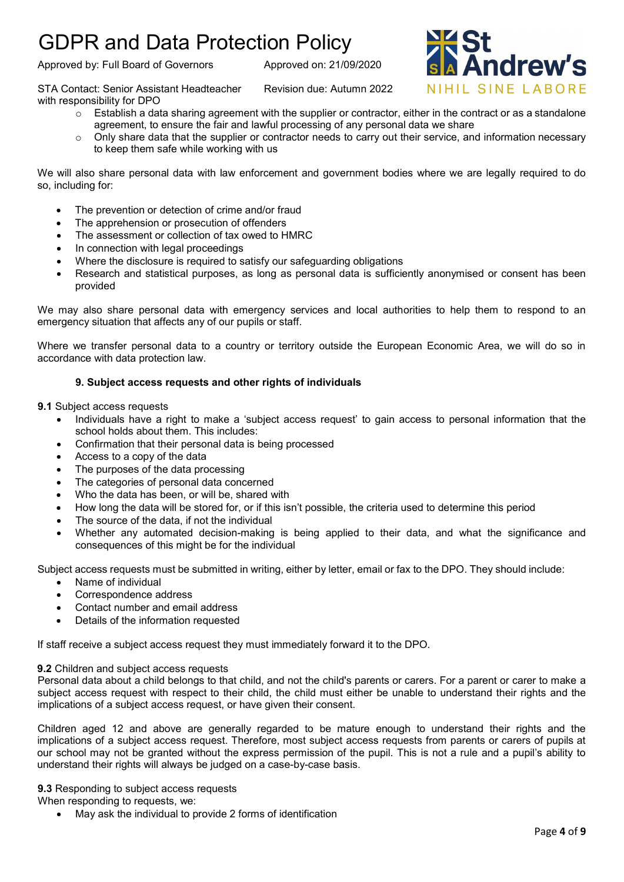Approved by: Full Board of Governors Approved on: 21/09/2020

STA Contact: Senior Assistant Headteacher Revision due: Autumn 2022 with responsibility for DPO

- $\circ$  Establish a data sharing agreement with the supplier or contractor, either in the contract or as a standalone agreement, to ensure the fair and lawful processing of any personal data we share
- $\circ$  Only share data that the supplier or contractor needs to carry out their service, and information necessary to keep them safe while working with us

We will also share personal data with law enforcement and government bodies where we are legally required to do so, including for:

- The prevention or detection of crime and/or fraud
- The apprehension or prosecution of offenders
- The assessment or collection of tax owed to HMRC
- In connection with legal proceedings
- Where the disclosure is required to satisfy our safeguarding obligations
- Research and statistical purposes, as long as personal data is sufficiently anonymised or consent has been provided

We may also share personal data with emergency services and local authorities to help them to respond to an emergency situation that affects any of our pupils or staff.

Where we transfer personal data to a country or territory outside the European Economic Area, we will do so in accordance with data protection law.

### **9. Subject access requests and other rights of individuals**

**9.1** Subject access requests

- Individuals have a right to make a 'subject access request' to gain access to personal information that the school holds about them. This includes:
- Confirmation that their personal data is being processed
- Access to a copy of the data
- The purposes of the data processing
- The categories of personal data concerned
- Who the data has been, or will be, shared with
- How long the data will be stored for, or if this isn't possible, the criteria used to determine this period
- The source of the data, if not the individual
- Whether any automated decision-making is being applied to their data, and what the significance and consequences of this might be for the individual

Subject access requests must be submitted in writing, either by letter, email or fax to the DPO. They should include:

- Name of individual
- Correspondence address
- Contact number and email address
- Details of the information requested

If staff receive a subject access request they must immediately forward it to the DPO.

#### **9.2** Children and subject access requests

Personal data about a child belongs to that child, and not the child's parents or carers. For a parent or carer to make a subject access request with respect to their child, the child must either be unable to understand their rights and the implications of a subject access request, or have given their consent.

Children aged 12 and above are generally regarded to be mature enough to understand their rights and the implications of a subject access request. Therefore, most subject access requests from parents or carers of pupils at our school may not be granted without the express permission of the pupil. This is not a rule and a pupil's ability to understand their rights will always be judged on a case-by-case basis.

**9.3** Responding to subject access requests

When responding to requests, we:

• May ask the individual to provide 2 forms of identification

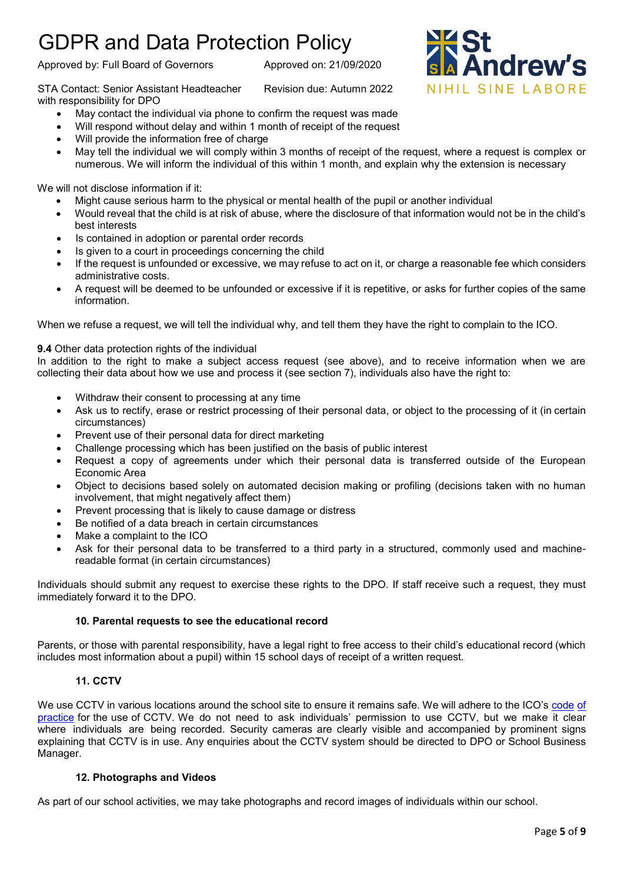Approved by: Full Board of Governors Approved on: 21/09/2020

STA Contact: Senior Assistant Headteacher Revision due: Autumn 2022 with responsibility for DPO

- May contact the individual via phone to confirm the request was made
- Will respond without delay and within 1 month of receipt of the request
- Will provide the information free of charge
- May tell the individual we will comply within 3 months of receipt of the request, where a request is complex or numerous. We will inform the individual of this within 1 month, and explain why the extension is necessary

We will not disclose information if it:

- Might cause serious harm to the physical or mental health of the pupil or another individual
- Would reveal that the child is at risk of abuse, where the disclosure of that information would not be in the child's best interests
- Is contained in adoption or parental order records
- Is given to a court in proceedings concerning the child
- If the request is unfounded or excessive, we may refuse to act on it, or charge a reasonable fee which considers administrative costs.
- A request will be deemed to be unfounded or excessive if it is repetitive, or asks for further copies of the same information.

When we refuse a request, we will tell the individual why, and tell them they have the right to complain to the ICO.

## **9.4** Other data protection rights of the individual

In addition to the right to make a subject access request (see above), and to receive information when we are collecting their data about how we use and process it (see section 7), individuals also have the right to:

- Withdraw their consent to processing at any time
- Ask us to rectify, erase or restrict processing of their personal data, or object to the processing of it (in certain circumstances)
- Prevent use of their personal data for direct marketing
- Challenge processing which has been justified on the basis of public interest
- Request a copy of agreements under which their personal data is transferred outside of the European Economic Area
- Object to decisions based solely on automated decision making or profiling (decisions taken with no human involvement, that might negatively affect them)
- Prevent processing that is likely to cause damage or distress
- Be notified of a data breach in certain circumstances
- Make a complaint to the ICO
- Ask for their personal data to be transferred to a third party in a structured, commonly used and machinereadable format (in certain circumstances)

Individuals should submit any request to exercise these rights to the DPO. If staff receive such a request, they must immediately forward it to the DPO.

## **10. Parental requests to see the educational record**

Parents, or those with parental responsibility, have a legal right to free access to their child's educational record (which includes most information about a pupil) within 15 school days of receipt of a written request.

### **11. CCTV**

We use CCTV in various locations around the school site to ensure it remains safe. We will adhere to the ICO's [code](https://ico.org.uk/media/for-organisations/documents/1542/cctv-code-of-practice.pdf) of [practice](https://ico.org.uk/media/for-organisations/documents/1542/cctv-code-of-practice.pdf) for the use of CCTV. We do not need to ask individuals' permission to use CCTV, but we make it clear where individuals are being recorded. Security cameras are clearly visible and accompanied by prominent signs explaining that CCTV is in use. Any enquiries about the CCTV system should be directed to DPO or School Business Manager.

### **12. Photographs and Videos**

As part of our school activities, we may take photographs and record images of individuals within our school.

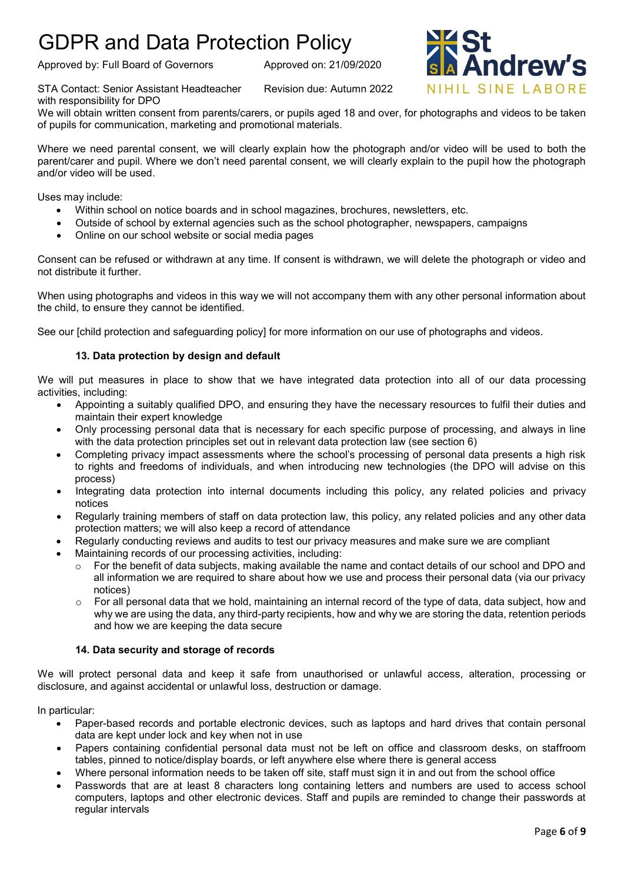Approved by: Full Board of Governors Approved on: 21/09/2020



drew's NIHIL SINE LABORE

with responsibility for DPO

We will obtain written consent from parents/carers, or pupils aged 18 and over, for photographs and videos to be taken of pupils for communication, marketing and promotional materials.

Where we need parental consent, we will clearly explain how the photograph and/or video will be used to both the parent/carer and pupil. Where we don't need parental consent, we will clearly explain to the pupil how the photograph and/or video will be used.

Uses may include:

- Within school on notice boards and in school magazines, brochures, newsletters, etc.
- Outside of school by external agencies such as the school photographer, newspapers, campaigns
- Online on our school website or social media pages

Consent can be refused or withdrawn at any time. If consent is withdrawn, we will delete the photograph or video and not distribute it further.

When using photographs and videos in this way we will not accompany them with any other personal information about the child, to ensure they cannot be identified.

See our [child protection and safeguarding policy] for more information on our use of photographs and videos.

## **13. Data protection by design and default**

We will put measures in place to show that we have integrated data protection into all of our data processing activities, including:

- Appointing a suitably qualified DPO, and ensuring they have the necessary resources to fulfil their duties and maintain their expert knowledge
- Only processing personal data that is necessary for each specific purpose of processing, and always in line with the data protection principles set out in relevant data protection law (see section 6)
- Completing privacy impact assessments where the school's processing of personal data presents a high risk to rights and freedoms of individuals, and when introducing new technologies (the DPO will advise on this process)
- Integrating data protection into internal documents including this policy, any related policies and privacy notices
- Regularly training members of staff on data protection law, this policy, any related policies and any other data protection matters; we will also keep a record of attendance
- Regularly conducting reviews and audits to test our privacy measures and make sure we are compliant
- Maintaining records of our processing activities, including:
	- o For the benefit of data subjects, making available the name and contact details of our school and DPO and all information we are required to share about how we use and process their personal data (via our privacy notices)
	- $\circ$  For all personal data that we hold, maintaining an internal record of the type of data, data subject, how and why we are using the data, any third-party recipients, how and why we are storing the data, retention periods and how we are keeping the data secure

### **14. Data security and storage of records**

We will protect personal data and keep it safe from unauthorised or unlawful access, alteration, processing or disclosure, and against accidental or unlawful loss, destruction or damage.

In particular:

- Paper-based records and portable electronic devices, such as laptops and hard drives that contain personal data are kept under lock and key when not in use
- Papers containing confidential personal data must not be left on office and classroom desks, on staffroom tables, pinned to notice/display boards, or left anywhere else where there is general access
- Where personal information needs to be taken off site, staff must sign it in and out from the school office
- Passwords that are at least 8 characters long containing letters and numbers are used to access school computers, laptops and other electronic devices. Staff and pupils are reminded to change their passwords at regular intervals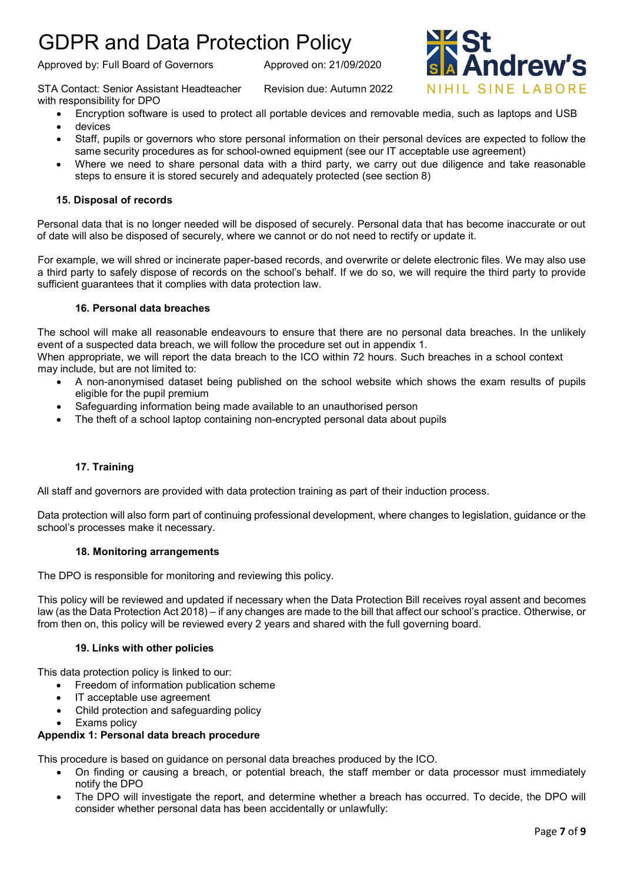Approved by: Full Board of Governors Approved on: 21/09/2020

STA Contact: Senior Assistant Headteacher Revision due: Autumn 2022 with responsibility for DPO

- Encryption software is used to protect all portable devices and removable media, such as laptops and USB
- devices
- Staff, pupils or governors who store personal information on their personal devices are expected to follow the same security procedures as for school-owned equipment (see our IT acceptable use agreement)
- Where we need to share personal data with a third party, we carry out due diligence and take reasonable steps to ensure it is stored securely and adequately protected (see section 8)

## **15. Disposal of records**

Personal data that is no longer needed will be disposed of securely. Personal data that has become inaccurate or out of date will also be disposed of securely, where we cannot or do not need to rectify or update it.

For example, we will shred or incinerate paper-based records, and overwrite or delete electronic files. We may also use a third party to safely dispose of records on the school's behalf. If we do so, we will require the third party to provide sufficient guarantees that it complies with data protection law.

## **16. Personal data breaches**

The school will make all reasonable endeavours to ensure that there are no personal data breaches. In the unlikely event of a suspected data breach, we will follow the procedure set out in appendix 1.

When appropriate, we will report the data breach to the ICO within 72 hours. Such breaches in a school context may include, but are not limited to:

- A non-anonymised dataset being published on the school website which shows the exam results of pupils eligible for the pupil premium
- Safeguarding information being made available to an unauthorised person
- The theft of a school laptop containing non-encrypted personal data about pupils

### **17. Training**

All staff and governors are provided with data protection training as part of their induction process.

Data protection will also form part of continuing professional development, where changes to legislation, guidance or the school's processes make it necessary.

### **18. Monitoring arrangements**

The DPO is responsible for monitoring and reviewing this policy.

This policy will be reviewed and updated if necessary when the Data Protection Bill receives royal assent and becomes law (as the Data Protection Act 2018) – if any changes are made to the bill that affect our school's practice. Otherwise, or from then on, this policy will be reviewed every 2 years and shared with the full governing board.

### **19. Links with other policies**

This data protection policy is linked to our:

- Freedom of information publication scheme
- IT acceptable use agreement
- Child protection and safeguarding policy
- Exams policy

## **Appendix 1: Personal data breach procedure**

This procedure is based on guidance on personal data breaches produced by the ICO.

- On finding or causing a breach, or potential breach, the staff member or data processor must immediately notify the DPO
- The DPO will investigate the report, and determine whether a breach has occurred. To decide, the DPO will consider whether personal data has been accidentally or unlawfully:

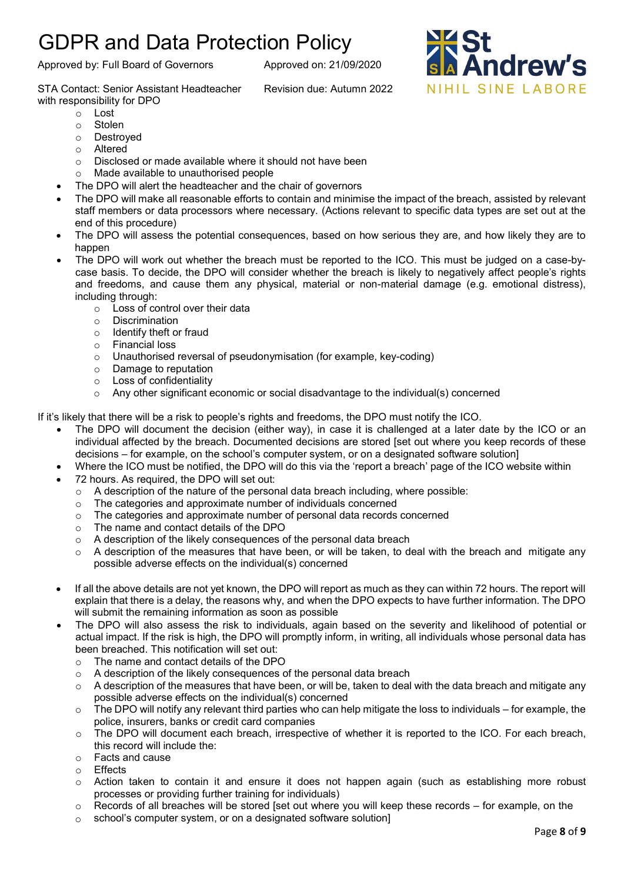Approved by: Full Board of Governors Approved on: 21/09/2020

STA Contact: Senior Assistant Headteacher Revision due: Autumn 2022 with responsibility for DPO

- o Lost
- o Stolen
- o Destroyed
- o Altered
- $\circ$  Disclosed or made available where it should not have been  $\circ$  Made available to unauthorised people
- Made available to unauthorised people
- The DPO will alert the headteacher and the chair of governors
- The DPO will make all reasonable efforts to contain and minimise the impact of the breach, assisted by relevant staff members or data processors where necessary. (Actions relevant to specific data types are set out at the end of this procedure)
- The DPO will assess the potential consequences, based on how serious they are, and how likely they are to happen
- The DPO will work out whether the breach must be reported to the ICO. This must be judged on a case-bycase basis. To decide, the DPO will consider whether the breach is likely to negatively affect people's rights and freedoms, and cause them any physical, material or non-material damage (e.g. emotional distress), including through:
	- o Loss of control over their data
	- o Discrimination
	- o Identify theft or fraud
	- o Financial loss
	- o Unauthorised reversal of pseudonymisation (for example, key-coding)
	- o Damage to reputation
	- o Loss of confidentiality
	- $\circ$  Any other significant economic or social disadvantage to the individual(s) concerned

If it's likely that there will be a risk to people's rights and freedoms, the DPO must notify the ICO.

- The DPO will document the decision (either way), in case it is challenged at a later date by the ICO or an individual affected by the breach. Documented decisions are stored [set out where you keep records of these decisions – for example, on the school's computer system, or on a designated software solution]
- Where the ICO must be notified, the DPO will do this via the 'report a breach' page of the ICO website within
- 72 hours. As required, the DPO will set out:
	- $\circ$  A description of the nature of the personal data breach including, where possible:
	- o The categories and approximate number of individuals concerned
	- $\circ$  The categories and approximate number of personal data records concerned
	- o The name and contact details of the DPO
	- o A description of the likely consequences of the personal data breach
	- $\circ$  A description of the measures that have been, or will be taken, to deal with the breach and mitigate any possible adverse effects on the individual(s) concerned
- If all the above details are not yet known, the DPO will report as much as they can within 72 hours. The report will explain that there is a delay, the reasons why, and when the DPO expects to have further information. The DPO will submit the remaining information as soon as possible
- The DPO will also assess the risk to individuals, again based on the severity and likelihood of potential or actual impact. If the risk is high, the DPO will promptly inform, in writing, all individuals whose personal data has been breached. This notification will set out:
	- $\circ$  The name and contact details of the DPO<br> $\circ$  A description of the likely consequences c
	- A description of the likely consequences of the personal data breach
	- $\circ$  A description of the measures that have been, or will be, taken to deal with the data breach and mitigate any possible adverse effects on the individual(s) concerned
	- $\circ$  The DPO will notify any relevant third parties who can help mitigate the loss to individuals for example, the police, insurers, banks or credit card companies
	- o The DPO will document each breach, irrespective of whether it is reported to the ICO. For each breach, this record will include the:
	- o Facts and cause
	- ⊙ Effects<br>⊙ Action
	- Action taken to contain it and ensure it does not happen again (such as establishing more robust processes or providing further training for individuals)
	- $\circ$  Records of all breaches will be stored [set out where you will keep these records for example, on the
	- o school's computer system, or on a designated software solution]